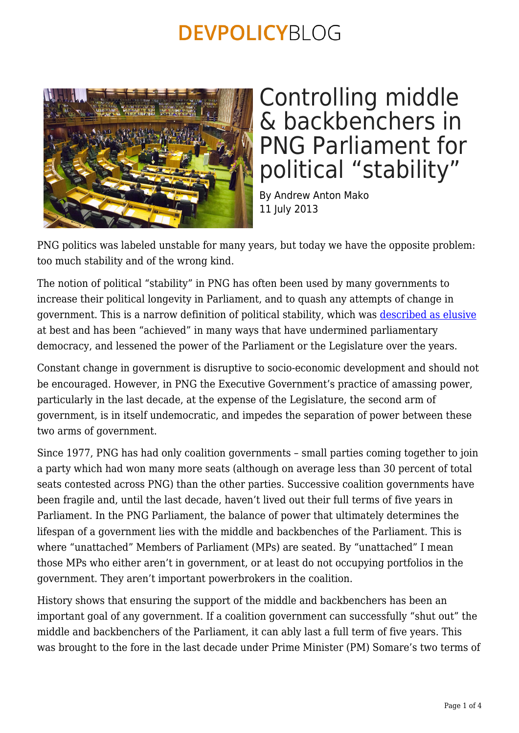

## Controlling middle & backbenchers in PNG Parliament for political "stability"

By Andrew Anton Mako 11 July 2013

PNG politics was labeled unstable for many years, but today we have the opposite problem: too much stability and of the wrong kind.

The notion of political "stability" in PNG has often been used by many governments to increase their political longevity in Parliament, and to quash any attempts of change in government. This is a narrow definition of political stability, which was [described as elusive](http://www.eastasiaforum.org/2010/08/02/papua-new-guineas-elusive-stability/) at best and has been "achieved" in many ways that have undermined parliamentary democracy, and lessened the power of the Parliament or the Legislature over the years.

Constant change in government is disruptive to socio-economic development and should not be encouraged. However, in PNG the Executive Government's practice of amassing power, particularly in the last decade, at the expense of the Legislature, the second arm of government, is in itself undemocratic, and impedes the separation of power between these two arms of government.

Since 1977, PNG has had only coalition governments – small parties coming together to join a party which had won many more seats (although on average less than 30 percent of total seats contested across PNG) than the other parties. Successive coalition governments have been fragile and, until the last decade, haven't lived out their full terms of five years in Parliament. In the PNG Parliament, the balance of power that ultimately determines the lifespan of a government lies with the middle and backbenches of the Parliament. This is where "unattached" Members of Parliament (MPs) are seated. By "unattached" I mean those MPs who either aren't in government, or at least do not occupying portfolios in the government. They aren't important powerbrokers in the coalition.

History shows that ensuring the support of the middle and backbenchers has been an important goal of any government. If a coalition government can successfully "shut out" the middle and backbenchers of the Parliament, it can ably last a full term of five years. This was brought to the fore in the last decade under Prime Minister (PM) Somare's two terms of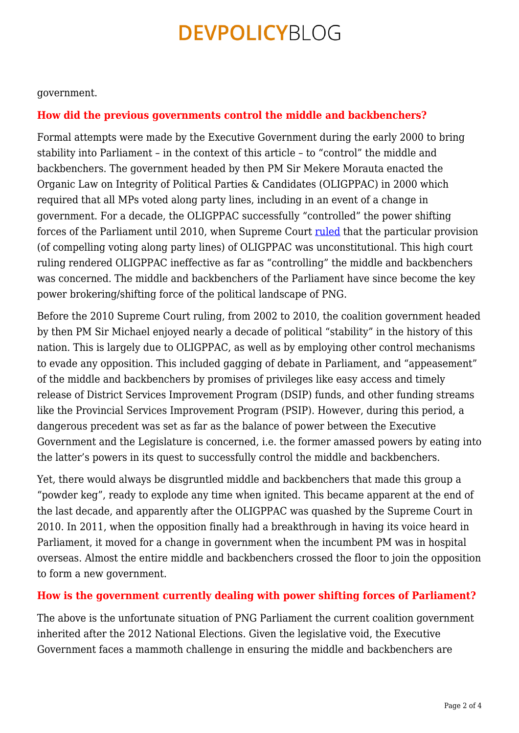government.

#### **How did the previous governments control the middle and backbenchers?**

Formal attempts were made by the Executive Government during the early 2000 to bring stability into Parliament – in the context of this article – to "control" the middle and backbenchers. The government headed by then PM Sir Mekere Morauta enacted the Organic Law on Integrity of Political Parties & Candidates (OLIGPPAC) in 2000 which required that all MPs voted along party lines, including in an event of a change in government. For a decade, the OLIGPPAC successfully "controlled" the power shifting forces of the Parliament until 2010, when Supreme Court [ruled](http://masalai.wordpress.com/2010/07/07/integrity-of-political-parties-law-declared-unconstitutional/) that the particular provision (of compelling voting along party lines) of OLIGPPAC was unconstitutional. This high court ruling rendered OLIGPPAC ineffective as far as "controlling" the middle and backbenchers was concerned. The middle and backbenchers of the Parliament have since become the key power brokering/shifting force of the political landscape of PNG.

Before the 2010 Supreme Court ruling, from 2002 to 2010, the coalition government headed by then PM Sir Michael enjoyed nearly a decade of political "stability" in the history of this nation. This is largely due to OLIGPPAC, as well as by employing other control mechanisms to evade any opposition. This included gagging of debate in Parliament, and "appeasement" of the middle and backbenchers by promises of privileges like easy access and timely release of District Services Improvement Program (DSIP) funds, and other funding streams like the Provincial Services Improvement Program (PSIP). However, during this period, a dangerous precedent was set as far as the balance of power between the Executive Government and the Legislature is concerned, i.e. the former amassed powers by eating into the latter's powers in its quest to successfully control the middle and backbenchers.

Yet, there would always be disgruntled middle and backbenchers that made this group a "powder keg", ready to explode any time when ignited. This became apparent at the end of the last decade, and apparently after the OLIGPPAC was quashed by the Supreme Court in 2010. In 2011, when the opposition finally had a breakthrough in having its voice heard in Parliament, it moved for a change in government when the incumbent PM was in hospital overseas. Almost the entire middle and backbenchers crossed the floor to join the opposition to form a new government.

#### **How is the government currently dealing with power shifting forces of Parliament?**

The above is the unfortunate situation of PNG Parliament the current coalition government inherited after the 2012 National Elections. Given the legislative void, the Executive Government faces a mammoth challenge in ensuring the middle and backbenchers are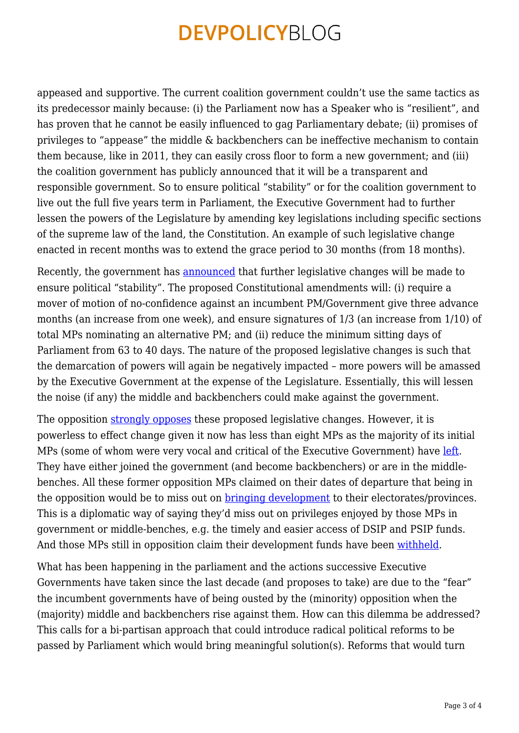appeased and supportive. The current coalition government couldn't use the same tactics as its predecessor mainly because: (i) the Parliament now has a Speaker who is "resilient", and has proven that he cannot be easily influenced to gag Parliamentary debate; (ii) promises of privileges to "appease" the middle & backbenchers can be ineffective mechanism to contain them because, like in 2011, they can easily cross floor to form a new government; and (iii) the coalition government has publicly announced that it will be a transparent and responsible government. So to ensure political "stability" or for the coalition government to live out the full five years term in Parliament, the Executive Government had to further lessen the powers of the Legislature by amending key legislations including specific sections of the supreme law of the land, the Constitution. An example of such legislative change enacted in recent months was to extend the grace period to 30 months (from 18 months).

Recently, the government has [announced](http://www.thenational.com.pg/?q=node/52019) that further legislative changes will be made to ensure political "stability". The proposed Constitutional amendments will: (i) require a mover of motion of no-confidence against an incumbent PM/Government give three advance months (an increase from one week), and ensure signatures of 1/3 (an increase from 1/10) of total MPs nominating an alternative PM; and (ii) reduce the minimum sitting days of Parliament from 63 to 40 days. The nature of the proposed legislative changes is such that the demarcation of powers will again be negatively impacted – more powers will be amassed by the Executive Government at the expense of the Legislature. Essentially, this will lessen the noise (if any) the middle and backbenchers could make against the government.

The opposition [strongly opposes](http://www.islandsbusiness.com/news/papua-new-guinea/1718/constitution-changes-dangerous-png-opposition/) these proposed legislative changes. However, it is powerless to effect change given it now has less than eight MPs as the majority of its initial MPs (some of whom were very vocal and critical of the Executive Government) have [left.](http://pidp.org/pireport/2013/May/05-24-07.htm) They have either joined the government (and become backbenchers) or are in the middlebenches. All these former opposition MPs claimed on their dates of departure that being in the opposition would be to miss out on [bringing development](http://www.emtv.com.pg/news-app/item/two-more-mps-leave-opposition) to their electorates/provinces. This is a diplomatic way of saying they'd miss out on privileges enjoyed by those MPs in government or middle-benches, e.g. the timely and easier access of DSIP and PSIP funds. And those MPs still in opposition claim their development funds have been [withheld.](http://www.thenational.com.pg/?q=node/52224)

What has been happening in the parliament and the actions successive Executive Governments have taken since the last decade (and proposes to take) are due to the "fear" the incumbent governments have of being ousted by the (minority) opposition when the (majority) middle and backbenchers rise against them. How can this dilemma be addressed? This calls for a bi-partisan approach that could introduce radical political reforms to be passed by Parliament which would bring meaningful solution(s). Reforms that would turn